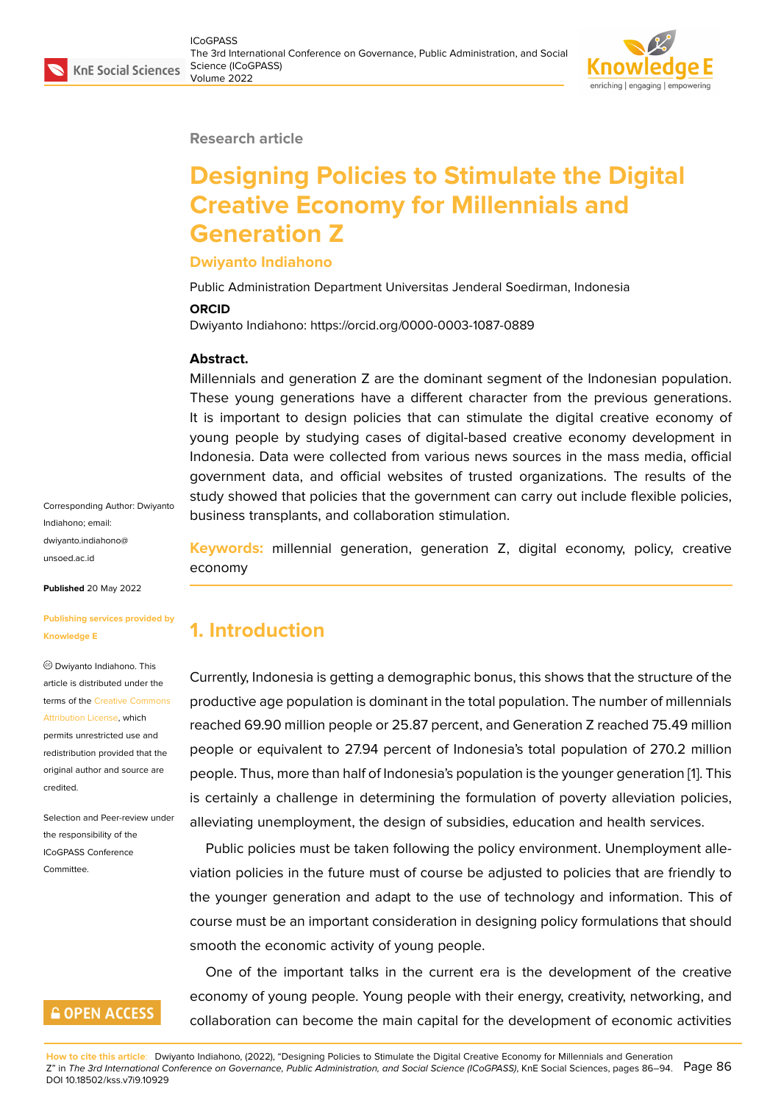#### **Research article**

# **Designing Policies to Stimulate the Digital Creative Economy for Millennials and Generation Z**

#### **Dwiyanto Indiahono**

Public Administration Department Universitas Jenderal Soedirman, Indonesia

#### **ORCID**

Dwiyanto Indiahono: https://orcid.org/0000-0003-1087-0889

#### **Abstract.**

Millennials and generation Z are the dominant segment of the Indonesian population. These young generations have a different character from the previous generations. It is important to design policies that can stimulate the digital creative economy of young people by studying cases of digital-based creative economy development in Indonesia. Data were collected from various news sources in the mass media, official government data, and official websites of trusted organizations. The results of the study showed that policies that the government can carry out include flexible policies, business transplants, and collaboration stimulation.

Corresponding Author: Dwiyanto Indiahono; email: dwiyanto.indiahono@ unsoed.ac.id

**Published** 20 May 2022

#### **[Publishing se](mailto:dwiyanto.indiahono@unsoed.ac.id )rvices provided by Knowledge E**

Dwiyanto Indiahono. This article is distributed under the terms of the Creative Commons Attribution License, which permits unrestricted use and redistribution provided that the original auth[or and source are](https://creativecommons.org/licenses/by/4.0/) [credited.](https://creativecommons.org/licenses/by/4.0/)

Selection and Peer-review under the responsibility of the ICoGPASS Conference Committee.

### **GOPEN ACCESS**

**Keywords:** millennial generation, generation Z, digital economy, policy, creative economy

# **1. Introduction**

Currently, Indonesia is getting a demographic bonus, this shows that the structure of the productive age population is dominant in the total population. The number of millennials reached 69.90 million people or 25.87 percent, and Generation Z reached 75.49 million people or equivalent to 27.94 percent of Indonesia's total population of 270.2 million people. Thus, more than half of Indonesia's population is the younger generation [1]. This is certainly a challenge in determining the formulation of poverty alleviation policies, alleviating unemployment, the design of subsidies, education and health services.

Public policies must be taken following the policy environment. Unemployme[n](#page-5-0)t alleviation policies in the future must of course be adjusted to policies that are friendly to the younger generation and adapt to the use of technology and information. This of course must be an important consideration in designing policy formulations that should smooth the economic activity of young people.

One of the important talks in the current era is the development of the creative economy of young people. Young people with their energy, creativity, networking, and collaboration can become the main capital for the development of economic activities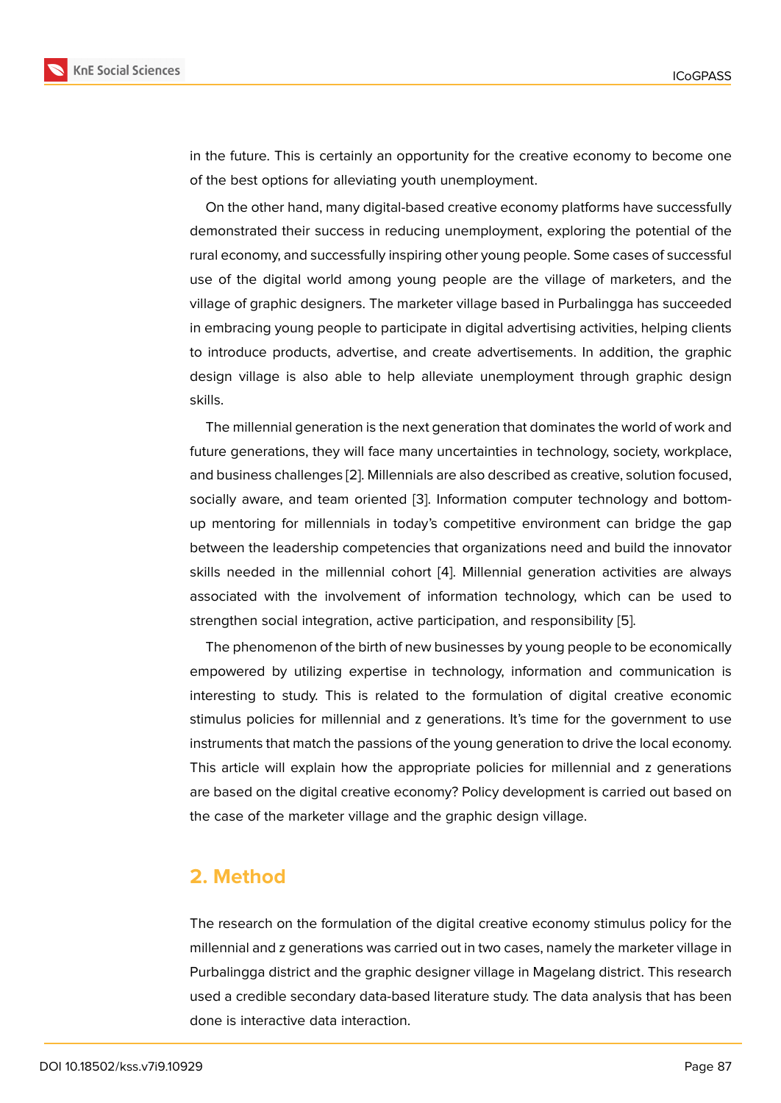in the future. This is certainly an opportunity for the creative economy to become one of the best options for alleviating youth unemployment.

On the other hand, many digital-based creative economy platforms have successfully demonstrated their success in reducing unemployment, exploring the potential of the rural economy, and successfully inspiring other young people. Some cases of successful use of the digital world among young people are the village of marketers, and the village of graphic designers. The marketer village based in Purbalingga has succeeded in embracing young people to participate in digital advertising activities, helping clients to introduce products, advertise, and create advertisements. In addition, the graphic design village is also able to help alleviate unemployment through graphic design skills.

The millennial generation is the next generation that dominates the world of work and future generations, they will face many uncertainties in technology, society, workplace, and business challenges [2]. Millennials are also described as creative, solution focused, socially aware, and team oriented [3]. Information computer technology and bottomup mentoring for millennials in today's competitive environment can bridge the gap between the leadership c[om](#page-6-0)petencies that organizations need and build the innovator skills needed in the millennial coh[or](#page-6-1)t [4]. Millennial generation activities are always associated with the involvement of information technology, which can be used to strengthen social integration, active participation, and responsibility [5].

The phenomenon of the birth of new [bu](#page-6-2)sinesses by young people to be economically empowered by utilizing expertise in technology, information and communication is interesting to study. This is related to the formulation of digital c[re](#page-6-3)ative economic stimulus policies for millennial and z generations. It's time for the government to use instruments that match the passions of the young generation to drive the local economy. This article will explain how the appropriate policies for millennial and z generations are based on the digital creative economy? Policy development is carried out based on the case of the marketer village and the graphic design village.

### **2. Method**

The research on the formulation of the digital creative economy stimulus policy for the millennial and z generations was carried out in two cases, namely the marketer village in Purbalingga district and the graphic designer village in Magelang district. This research used a credible secondary data-based literature study. The data analysis that has been done is interactive data interaction.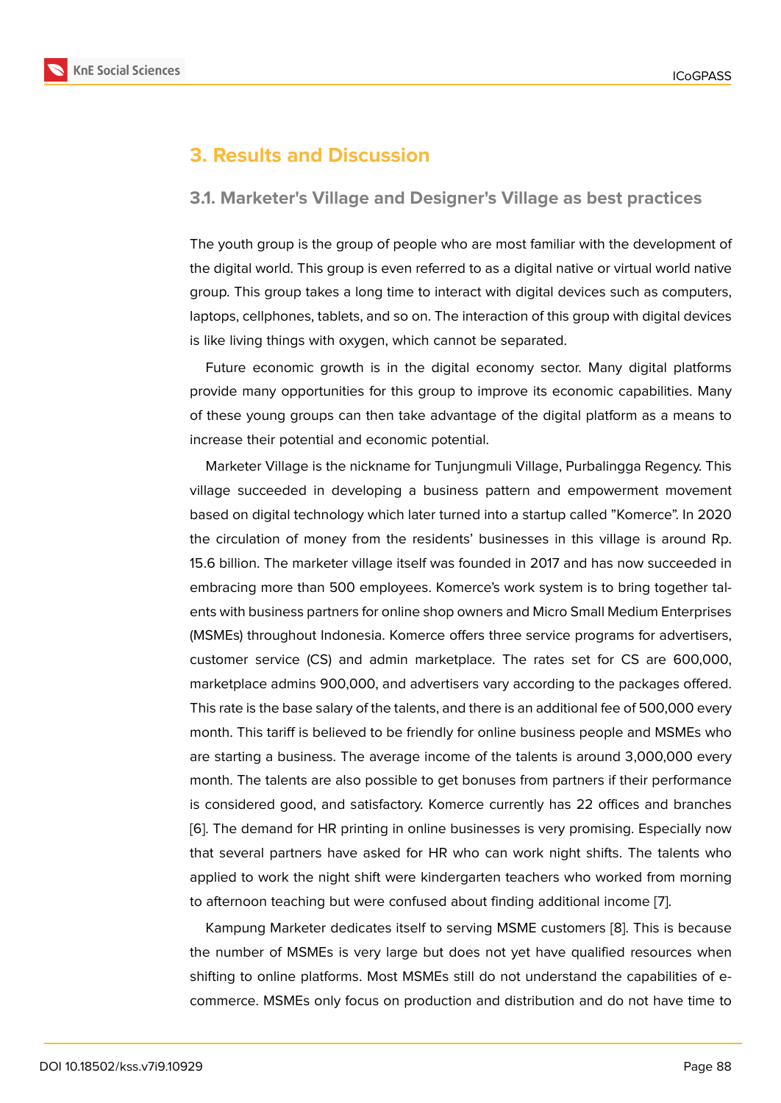# **3. Results and Discussion**

### **3.1. Marketer's Village and Designer's Village as best practices**

The youth group is the group of people who are most familiar with the development of the digital world. This group is even referred to as a digital native or virtual world native group. This group takes a long time to interact with digital devices such as computers, laptops, cellphones, tablets, and so on. The interaction of this group with digital devices is like living things with oxygen, which cannot be separated.

Future economic growth is in the digital economy sector. Many digital platforms provide many opportunities for this group to improve its economic capabilities. Many of these young groups can then take advantage of the digital platform as a means to increase their potential and economic potential.

Marketer Village is the nickname for Tunjungmuli Village, Purbalingga Regency. This village succeeded in developing a business pattern and empowerment movement based on digital technology which later turned into a startup called "Komerce". In 2020 the circulation of money from the residents' businesses in this village is around Rp. 15.6 billion. The marketer village itself was founded in 2017 and has now succeeded in embracing more than 500 employees. Komerce's work system is to bring together talents with business partners for online shop owners and Micro Small Medium Enterprises (MSMEs) throughout Indonesia. Komerce offers three service programs for advertisers, customer service (CS) and admin marketplace. The rates set for CS are 600,000, marketplace admins 900,000, and advertisers vary according to the packages offered. This rate is the base salary of the talents, and there is an additional fee of 500,000 every month. This tariff is believed to be friendly for online business people and MSMEs who are starting a business. The average income of the talents is around 3,000,000 every month. The talents are also possible to get bonuses from partners if their performance is considered good, and satisfactory. Komerce currently has 22 offices and branches [6]. The demand for HR printing in online businesses is very promising. Especially now that several partners have asked for HR who can work night shifts. The talents who applied to work the night shift were kindergarten teachers who worked from morning [to](#page-6-4) afternoon teaching but were confused about finding additional income [7].

Kampung Marketer dedicates itself to serving MSME customers [8]. This is because the number of MSMEs is very large but does not yet have qualified resources when shifting to online platforms. Most MSMEs still do not understand the capa[b](#page-6-5)ilities of ecommerce. MSMEs only focus on production and distribution and [do](#page-6-6) not have time to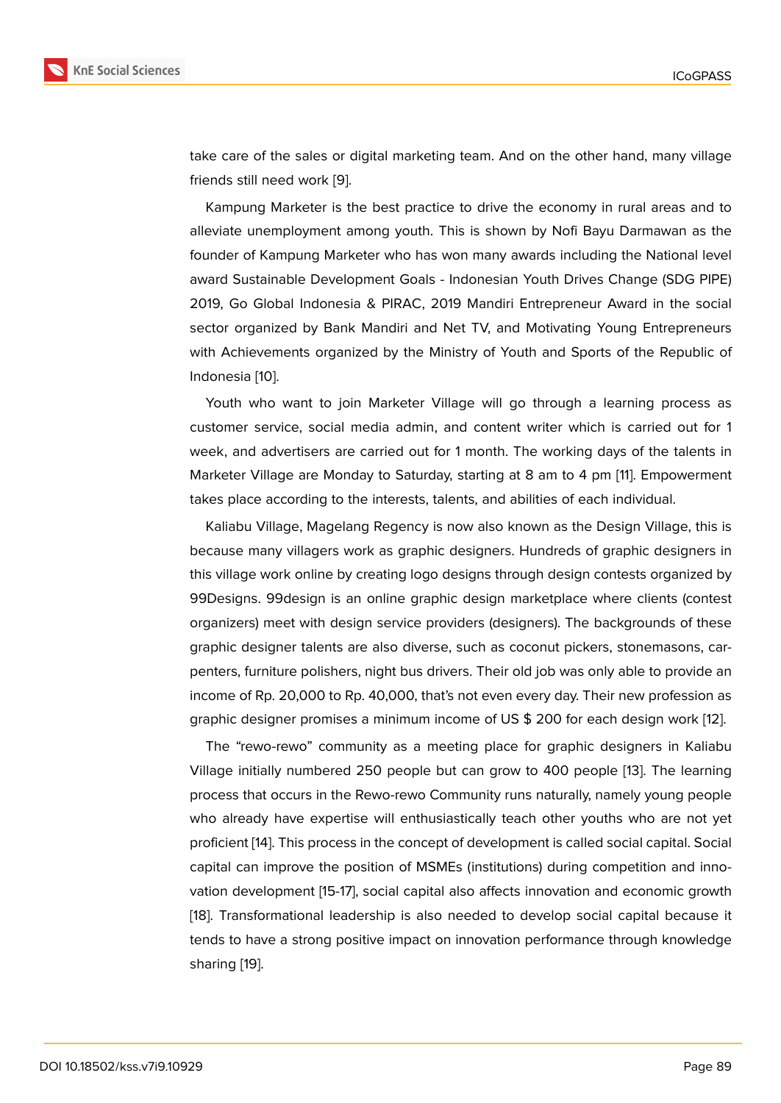take care of the sales or digital marketing team. And on the other hand, many village friends still need work [9].

Kampung Marketer is the best practice to drive the economy in rural areas and to alleviate unemployment among youth. This is shown by Nofi Bayu Darmawan as the founder of Kampung M[ar](#page-6-7)keter who has won many awards including the National level award Sustainable Development Goals - Indonesian Youth Drives Change (SDG PIPE) 2019, Go Global Indonesia & PIRAC, 2019 Mandiri Entrepreneur Award in the social sector organized by Bank Mandiri and Net TV, and Motivating Young Entrepreneurs with Achievements organized by the Ministry of Youth and Sports of the Republic of Indonesia [10].

Youth who want to join Marketer Village will go through a learning process as customer service, social media admin, and content writer which is carried out for 1 week, and [ad](#page-6-8)vertisers are carried out for 1 month. The working days of the talents in Marketer Village are Monday to Saturday, starting at 8 am to 4 pm [11]. Empowerment takes place according to the interests, talents, and abilities of each individual.

Kaliabu Village, Magelang Regency is now also known as the Design Village, this is because many villagers work as graphic designers. Hundreds of gr[ap](#page-6-9)hic designers in this village work online by creating logo designs through design contests organized by 99Designs. 99design is an online graphic design marketplace where clients (contest organizers) meet with design service providers (designers). The backgrounds of these graphic designer talents are also diverse, such as coconut pickers, stonemasons, carpenters, furniture polishers, night bus drivers. Their old job was only able to provide an income of Rp. 20,000 to Rp. 40,000, that's not even every day. Their new profession as graphic designer promises a minimum income of US \$ 200 for each design work [12].

The "rewo-rewo" community as a meeting place for graphic designers in Kaliabu Village initially numbered 250 people but can grow to 400 people [13]. The learning process that occurs in the Rewo-rewo Community runs naturally, namely young pe[op](#page-7-0)le who already have expertise will enthusiastically teach other youths who are not yet proficient [14]. This process in the concept of development is called so[cia](#page-7-1)l capital. Social capital can improve the position of MSMEs (institutions) during competition and innovation development [15-17], social capital also affects innovation and economic growth [18]. Trans[for](#page-7-2)mational leadership is also needed to develop social capital because it tends to have a strong positive impact on innovation performance through knowledge sharing [19].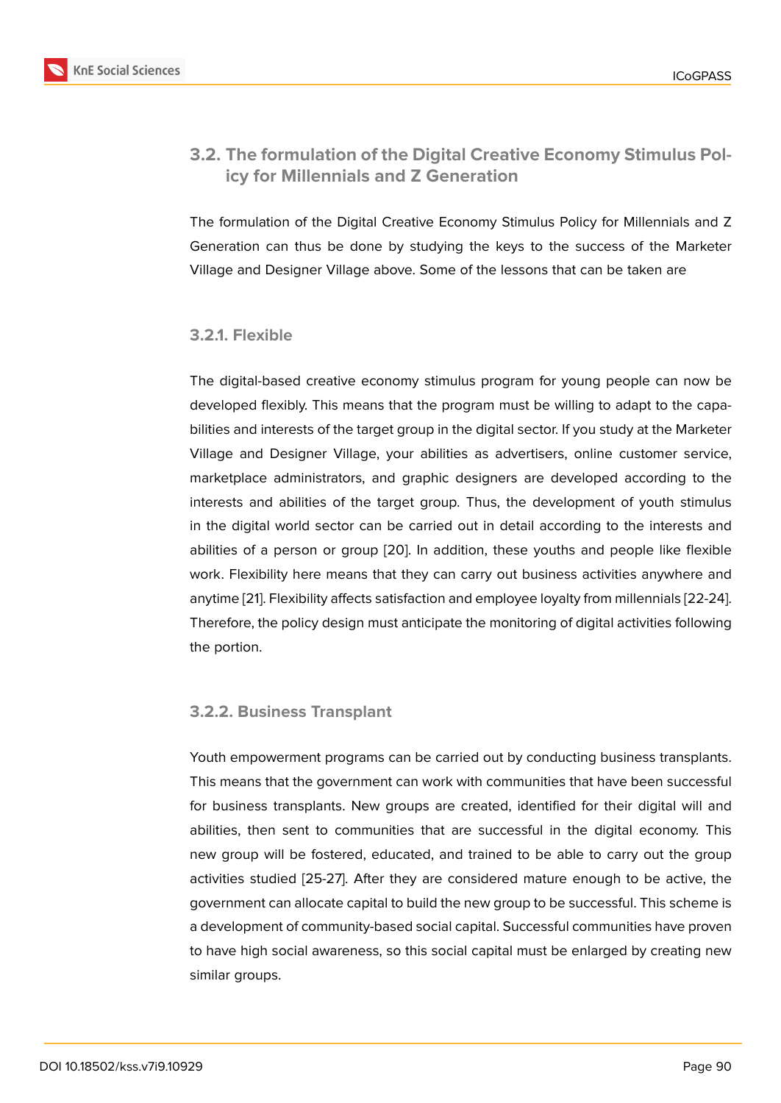### **3.2. The formulation of the Digital Creative Economy Stimulus Policy for Millennials and Z Generation**

The formulation of the Digital Creative Economy Stimulus Policy for Millennials and Z Generation can thus be done by studying the keys to the success of the Marketer Village and Designer Village above. Some of the lessons that can be taken are

### **3.2.1. Flexible**

The digital-based creative economy stimulus program for young people can now be developed flexibly. This means that the program must be willing to adapt to the capabilities and interests of the target group in the digital sector. If you study at the Marketer Village and Designer Village, your abilities as advertisers, online customer service, marketplace administrators, and graphic designers are developed according to the interests and abilities of the target group. Thus, the development of youth stimulus in the digital world sector can be carried out in detail according to the interests and abilities of a person or group [20]. In addition, these youths and people like flexible work. Flexibility here means that they can carry out business activities anywhere and anytime [21]. Flexibility affects satisfaction and employee loyalty from millennials [22-24]. Therefore, the policy design m[ust a](#page-7-3)nticipate the monitoring of digital activities following the portion.

#### **3.2.2. Business Transplant**

Youth empowerment programs can be carried out by conducting business transplants. This means that the government can work with communities that have been successful for business transplants. New groups are created, identified for their digital will and abilities, then sent to communities that are successful in the digital economy. This new group will be fostered, educated, and trained to be able to carry out the group activities studied [25-27]. After they are considered mature enough to be active, the government can allocate capital to build the new group to be successful. This scheme is a development of community-based social capital. Successful communities have proven to have high social awareness, so this social capital must be enlarged by creating new similar groups.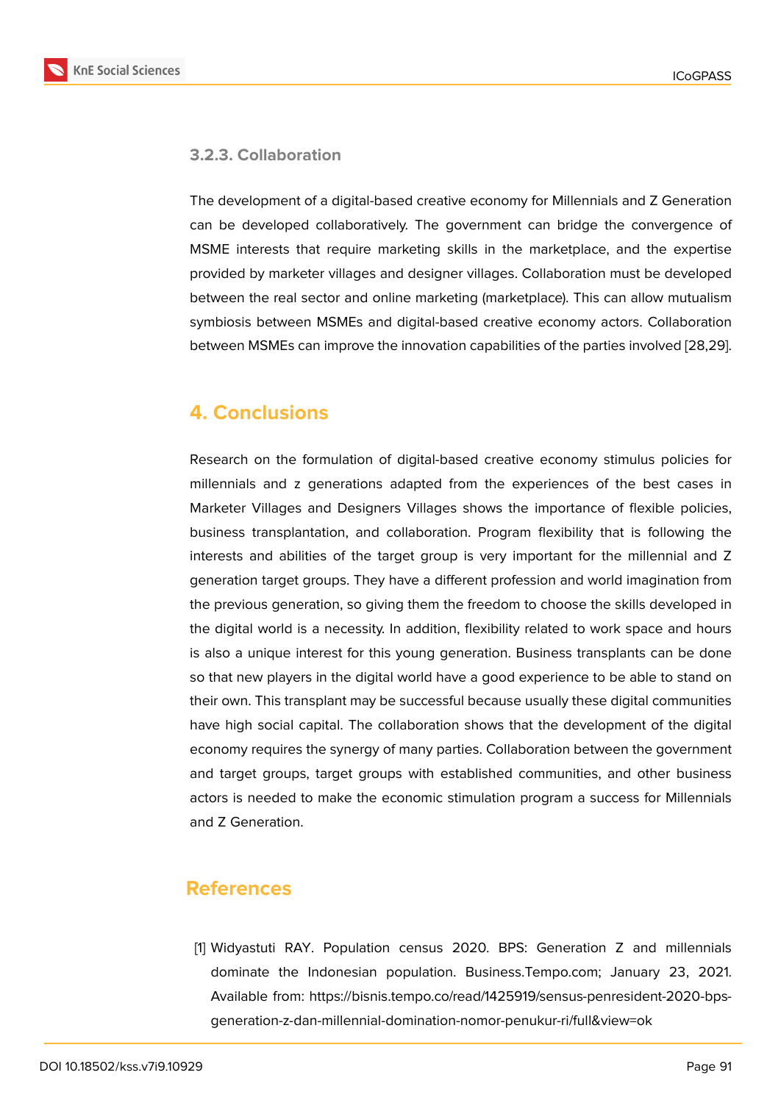

#### **3.2.3. Collaboration**

The development of a digital-based creative economy for Millennials and Z Generation can be developed collaboratively. The government can bridge the convergence of MSME interests that require marketing skills in the marketplace, and the expertise provided by marketer villages and designer villages. Collaboration must be developed between the real sector and online marketing (marketplace). This can allow mutualism symbiosis between MSMEs and digital-based creative economy actors. Collaboration between MSMEs can improve the innovation capabilities of the parties involved [28,29].

# **4. Conclusions**

Research on the formulation of digital-based creative economy stimulus policies for millennials and z generations adapted from the experiences of the best cases in Marketer Villages and Designers Villages shows the importance of flexible policies, business transplantation, and collaboration. Program flexibility that is following the interests and abilities of the target group is very important for the millennial and Z generation target groups. They have a different profession and world imagination from the previous generation, so giving them the freedom to choose the skills developed in the digital world is a necessity. In addition, flexibility related to work space and hours is also a unique interest for this young generation. Business transplants can be done so that new players in the digital world have a good experience to be able to stand on their own. This transplant may be successful because usually these digital communities have high social capital. The collaboration shows that the development of the digital economy requires the synergy of many parties. Collaboration between the government and target groups, target groups with established communities, and other business actors is needed to make the economic stimulation program a success for Millennials and Z Generation.

# **References**

<span id="page-5-0"></span>[1] Widyastuti RAY. Population census 2020. BPS: Generation Z and millennials dominate the Indonesian population. Business.Tempo.com; January 23, 2021. Available from: https://bisnis.tempo.co/read/1425919/sensus-penresident-2020-bpsgeneration-z-dan-millennial-domination-nomor-penukur-ri/full&view=ok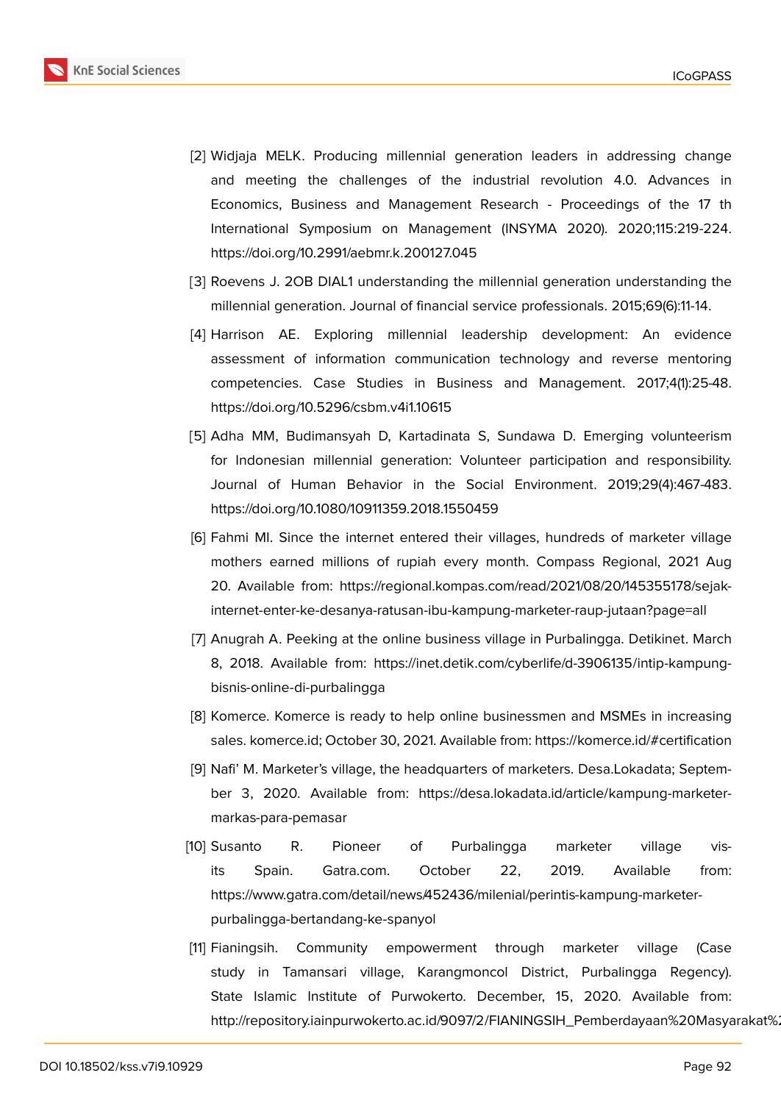

- <span id="page-6-0"></span>[2] Widjaja MELK. Producing millennial generation leaders in addressing change and meeting the challenges of the industrial revolution 4.0. Advances in Economics, Business and Management Research - Proceedings of the 17 th International Symposium on Management (INSYMA 2020). 2020;115:219-224. https://doi.org/10.2991/aebmr.k.200127.045
- <span id="page-6-1"></span>[3] Roevens J. 2OB DIAL1 understanding the millennial generation understanding the millennial generation. Journal of financial service professionals. 2015;69(6):11-14.
- <span id="page-6-2"></span>[4] Harrison AE. Exploring millennial leadership development: An evidence assessment of information communication technology and reverse mentoring competencies. Case Studies in Business and Management. 2017;4(1):25-48. https://doi.org/10.5296/csbm.v4i1.10615
- <span id="page-6-3"></span>[5] Adha MM, Budimansyah D, Kartadinata S, Sundawa D. Emerging volunteerism for Indonesian millennial generation: Volunteer participation and responsibility. Journal of Human Behavior in the Social Environment. 2019;29(4):467-483. https://doi.org/10.1080/10911359.2018.1550459
- <span id="page-6-4"></span>[6] Fahmi MI. Since the internet entered their villages, hundreds of marketer village mothers earned millions of rupiah every month. Compass Regional, 2021 Aug 20. Available from: https://regional.kompas.com/read/2021/08/20/145355178/sejakinternet-enter-ke-desanya-ratusan-ibu-kampung-marketer-raup-jutaan?page=all
- <span id="page-6-5"></span>[7] Anugrah A. Peeking at the online business village in Purbalingga. Detikinet. March 8, 2018. Available from: https://inet.detik.com/cyberlife/d-3906135/intip-kampungbisnis-online-di-purbalingga
- <span id="page-6-6"></span>[8] Komerce. Komerce is ready to help online businessmen and MSMEs in increasing sales. komerce.id; October 30, 2021. Available from: https://komerce.id/#certification
- <span id="page-6-7"></span>[9] Nafi' M. Marketer's village, the headquarters of marketers. Desa.Lokadata; September 3, 2020. Available from: https://desa.lokadata.id/article/kampung-marketermarkas-para-pemasar
- <span id="page-6-8"></span>[10] Susanto R. Pioneer of Purbalingga marketer village visits Spain. Gatra.com. October 22, 2019. Available from: https://www.gatra.com/detail/news/452436/milenial/perintis-kampung-marketerpurbalingga-bertandang-ke-spanyol
- <span id="page-6-9"></span>[11] Fianingsih. Community empowerment through marketer village (Case study in Tamansari village, Karangmoncol District, Purbalingga Regency). State Islamic Institute of Purwokerto. December, 15, 2020. Available from: http://repository.iainpurwokerto.ac.id/9097/2/FIANINGSIH\_Pemberdayaan%20Masyarakat%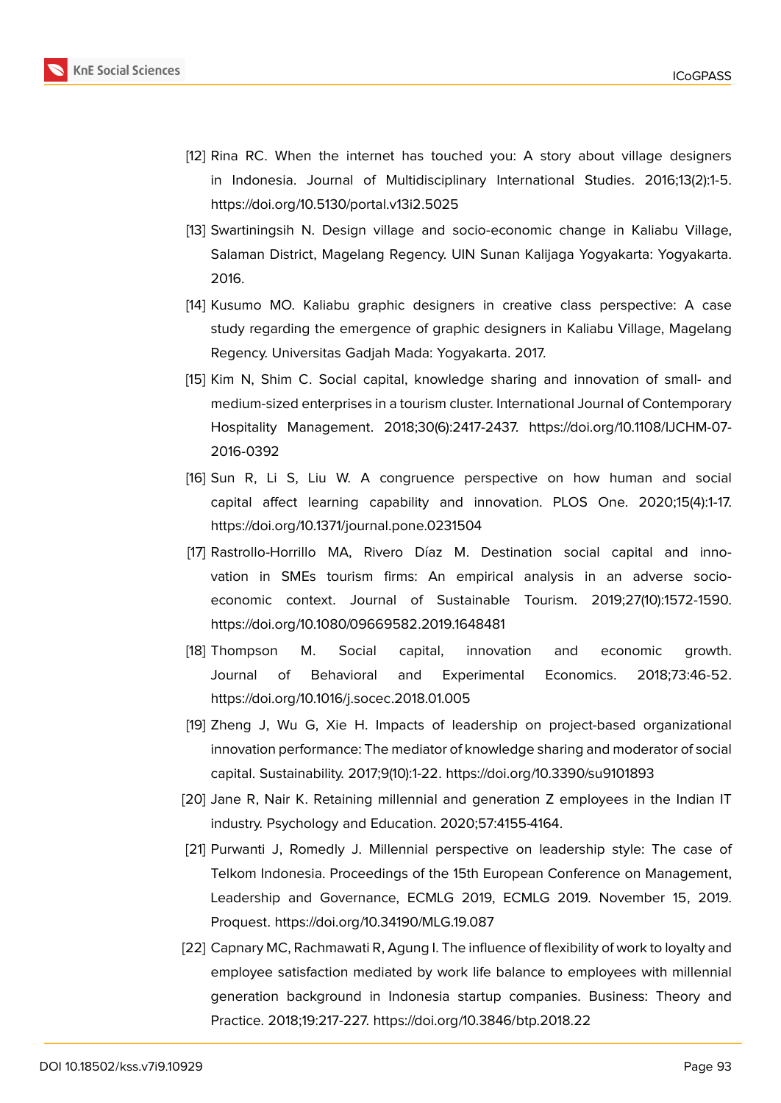

- <span id="page-7-0"></span>[12] Rina RC. When the internet has touched you: A story about village designers in Indonesia. Journal of Multidisciplinary International Studies. 2016;13(2):1-5. https://doi.org/10.5130/portal.v13i2.5025
- <span id="page-7-1"></span>[13] Swartiningsih N. Design village and socio-economic change in Kaliabu Village, Salaman District, Magelang Regency. UIN Sunan Kalijaga Yogyakarta: Yogyakarta. 2016.
- <span id="page-7-2"></span>[14] Kusumo MO. Kaliabu graphic designers in creative class perspective: A case study regarding the emergence of graphic designers in Kaliabu Village, Magelang Regency. Universitas Gadjah Mada: Yogyakarta. 2017.
- [15] Kim N, Shim C. Social capital, knowledge sharing and innovation of small- and medium-sized enterprises in a tourism cluster. International Journal of Contemporary Hospitality Management. 2018;30(6):2417-2437. https://doi.org/10.1108/IJCHM-07- 2016-0392
- [16] Sun R, Li S, Liu W. A congruence perspective on how human and social capital affect learning capability and innovation. PLOS One. 2020;15(4):1-17. https://doi.org/10.1371/journal.pone.0231504
- [17] Rastrollo-Horrillo MA, Rivero Díaz M. Destination social capital and innovation in SMEs tourism firms: An empirical analysis in an adverse socioeconomic context. Journal of Sustainable Tourism. 2019;27(10):1572-1590. https://doi.org/10.1080/09669582.2019.1648481
- [18] Thompson M. Social capital, innovation and economic growth. Journal of Behavioral and Experimental Economics. 2018;73:46-52. https://doi.org/10.1016/j.socec.2018.01.005
- [19] Zheng J, Wu G, Xie H. Impacts of leadership on project-based organizational innovation performance: The mediator of knowledge sharing and moderator of social capital. Sustainability. 2017;9(10):1-22. https://doi.org/10.3390/su9101893
- <span id="page-7-3"></span>[20] Jane R, Nair K. Retaining millennial and generation Z employees in the Indian IT industry. Psychology and Education. 2020;57:4155-4164.
- [21] Purwanti J, Romedly J. Millennial perspective on leadership style: The case of Telkom Indonesia. Proceedings of the 15th European Conference on Management, Leadership and Governance, ECMLG 2019, ECMLG 2019. November 15, 2019. Proquest. https://doi.org/10.34190/MLG.19.087
- [22] Capnary MC, Rachmawati R, Agung I. The influence of flexibility of work to loyalty and employee satisfaction mediated by work life balance to employees with millennial generation background in Indonesia startup companies. Business: Theory and Practice. 2018;19:217-227. https://doi.org/10.3846/btp.2018.22